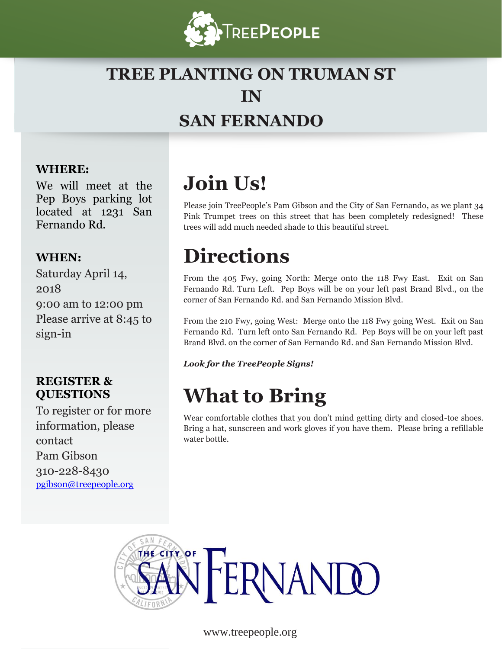

## **TREE PLANTING ON TRUMAN ST IN SAN FERNANDO**

### **WHERE:**

We will meet at the Pep Boys parking lot located at 1231 San Fernando Rd.

### **WHEN:**

Saturday April 14, 2018 9:00 am to 12:00 pm Please arrive at 8:45 to sign-in

### **REGISTER & QUESTIONS**

To register or for more information, please contact Pam Gibson 310-228-8430 [pgibson@treepeople.org](mailto:pgibson@treepeople.org)

# **Join Us!**

Please join TreePeople's Pam Gibson and the City of San Fernando, as we plant 34 Pink Trumpet trees on this street that has been completely redesigned! These trees will add much needed shade to this beautiful street.

# **Directions**

From the 405 Fwy, going North: Merge onto the 118 Fwy East. Exit on San Fernando Rd. Turn Left. Pep Boys will be on your left past Brand Blvd., on the corner of San Fernando Rd. and San Fernando Mission Blvd.

From the 210 Fwy, going West: Merge onto the 118 Fwy going West. Exit on San Fernando Rd. Turn left onto San Fernando Rd. Pep Boys will be on your left past Brand Blvd. on the corner of San Fernando Rd. and San Fernando Mission Blvd.

*Look for the TreePeople Signs!*

# **What to Bring**

Wear comfortable clothes that you don't mind getting dirty and closed-toe shoes. Bring a hat, sunscreen and work gloves if you have them. Please bring a refillable water bottle.



www.treepeople.org